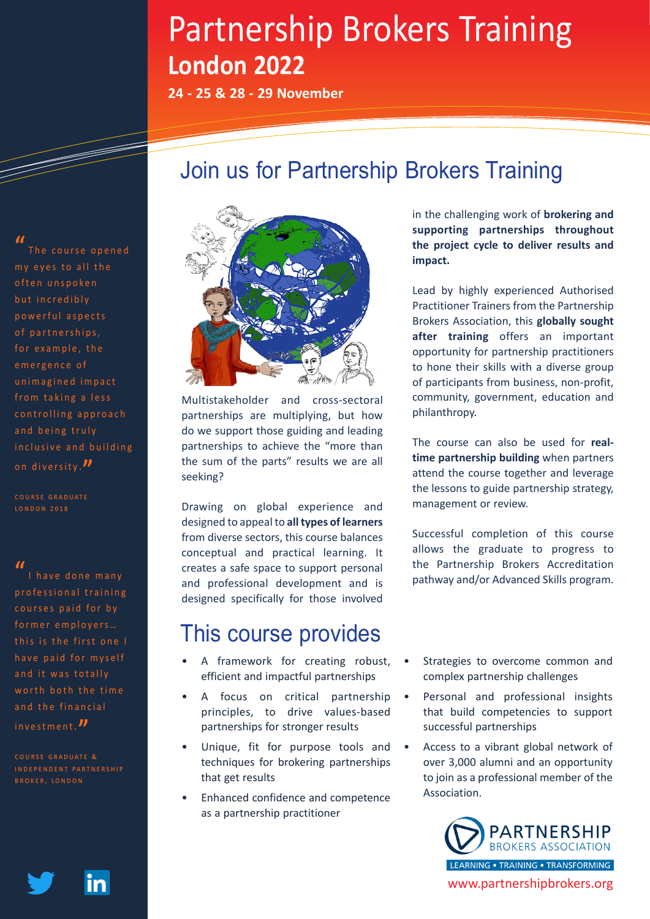# Partnership Brokers Training **London 2022**

**24 - 25 & 28 - 29 November**

### Join us for Partnership Brokers Training

**"** The course opened my eyes to all the often unspoken but incredibly powerful aspects of partnerships, for example, the emergence of unimagined impact from taking a less controlling approach and being truly in clusive and building on diversity . **"**

#### **"**

I have done many professional training courses paid for by former employers... this is the first one I have paid for myself and it was totally worth both the time and the financial investment. **"**



Multistakeholder and cross-sectoral partnerships are multiplying, but how do we support those guiding and leading partnerships to achieve the "more than the sum of the parts" results we are all seeking?

Drawing on global experience and designed to appeal to **all types of learners**  from diverse sectors, this course balances conceptual and practical learning. It creates a safe space to support personal and professional development and is designed specifically for those involved

### This course provides

- A framework for creating robust, efficient and impactful partnerships
- A focus on critical partnership principles, to drive values-based partnerships for stronger results
- Unique, fit for purpose tools and techniques for brokering partnerships that get results
- Enhanced confidence and competence as a partnership practitioner

in the challenging work of **brokering and supporting partnerships throughout the project cycle to deliver results and impact.**

Lead by highly experienced Authorised Practitioner Trainers from the Partnership Brokers Association, this **globally sought after training** offers an important opportunity for partnership practitioners to hone their skills with a diverse group of participants from business, non-profit, community, government, education and philanthropy.

The course can also be used for **realtime partnership building** when partners attend the course together and leverage the lessons to guide partnership strategy, management or review.

Successful completion of this course allows the graduate to progress to the Partnership Brokers Accreditation pathway and/or Advanced Skills program.

- Strategies to overcome common and complex partnership challenges
- Personal and professional insights that build competencies to support successful partnerships
- Access to a vibrant global network of over 3,000 alumni and an opportunity to join as a professional member of the Association.



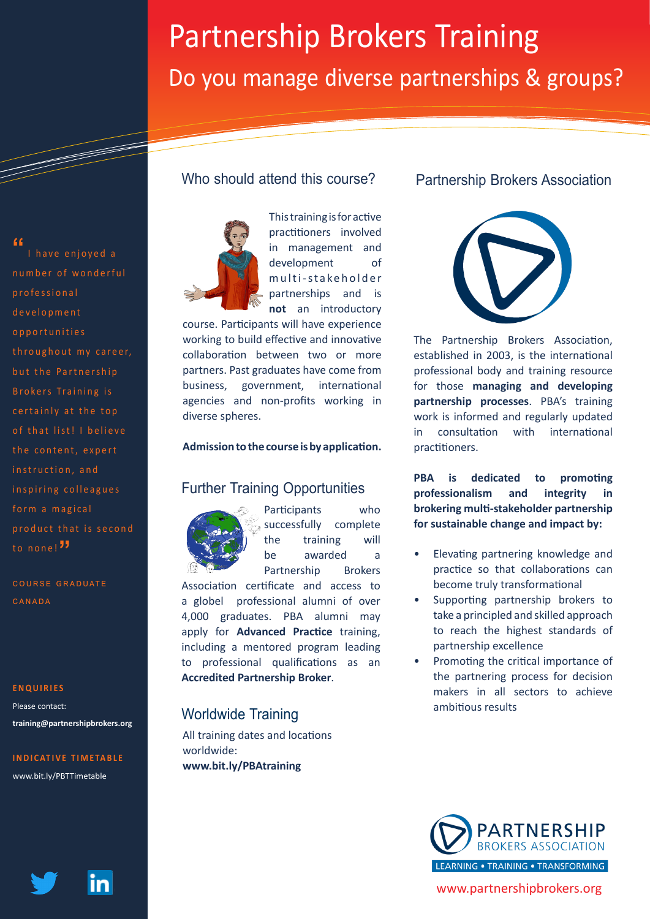# Partnership Brokers Training Do you manage diverse partnerships & groups?

#### **"**

<u>Santa Baratas de Brasilia do Brasilia do Brasilia do Brasilia do Brasilia do Brasilia do Brasilia do Brasilia </u>

I have enjoved a number of wonderful professional d e v e l o p m e n t o p p o r t u n i t i e s throughout my career, but the Partnership Brokers Training is certainly at the top of that list! I believe the content, expert instruction, and inspiring colleagues form a magical p r o d u c t that is second to none!**"**

COURSE GRADUATE Canada

#### **ENQUIRIES**

Please contact: **training@partnershipbrokers.org**

#### **INDICATIVE TIMETABLE**

www.bit.ly/PBTTimetable



#### Who should attend this course?



This training is for active practitioners involved in management and development of m ulti-stakeholder partnerships and is **not** an introductory

course. Participants will have experience working to build effective and innovative collaboration between two or more partners. Past graduates have come from business, government, international agencies and non-profits working in diverse spheres.

#### **Admission to the course is by application.**

#### Further Training Opportunities



Participants who successfully complete the training will be awarded a Partnership Brokers

Association certificate and access to a globel professional alumni of over 4,000 graduates. PBA alumni may apply for **Advanced Practice** training, including a mentored program leading to professional qualifications as an **Accredited Partnership Broker**.

### ambitious results Worldwide Training

All training dates and locations worldwide: **www.bit.ly/PBAtraining**

#### Partnership Brokers Association



The Partnership Brokers Association, established in 2003, is the international professional body and training resource for those **managing and developing partnership processes**. PBA's training work is informed and regularly updated in consultation with international practitioners.

**PBA is dedicated to promoting professionalism and integrity in brokering multi-stakeholder partnership for sustainable change and impact by:**

- Elevating partnering knowledge and practice so that collaborations can become truly transformational
- Supporting partnership brokers to take a principled and skilled approach to reach the highest standards of partnership excellence
- Promoting the critical importance of the partnering process for decision makers in all sectors to achieve



www.partnershipbrokers.org